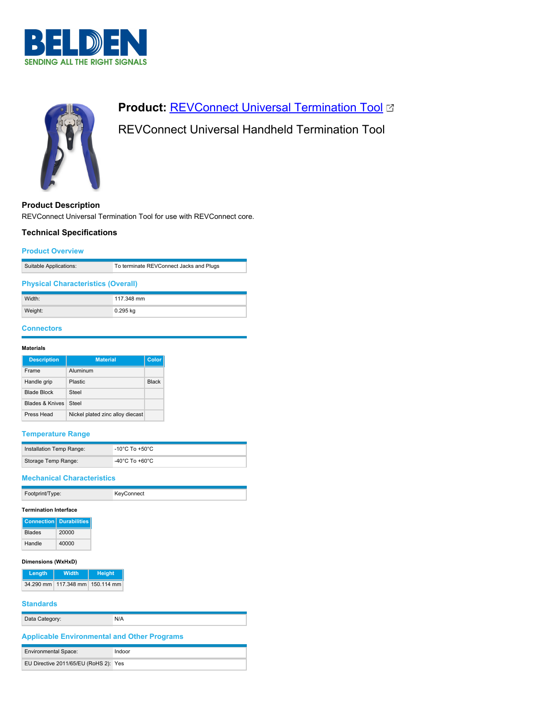



# **Product: [REVConnect Universal Termination Tool](https://catalog.belden.com/index.cfm?event=pd&p=PF_RVUTT01&tab=downloads) &**

# REVConnect Universal Handheld Termination Tool

**Product Description**

REVConnect Universal Termination Tool for use with REVConnect core.

## **Technical Specifications**

#### **Product Overview**

| Suitable Applications: | To terminate REVConnect Jacks and Plugs |
|------------------------|-----------------------------------------|
|                        |                                         |

#### **Physical Characteristics (Overall)**

| Width:  | 117.348 mm |
|---------|------------|
| Weight: | 0.295 kg   |

# **Connectors**

#### **Materials**

| <b>Description</b>         | <b>Material</b>                  | <b>Color</b> |
|----------------------------|----------------------------------|--------------|
| Frame                      | Aluminum                         |              |
| Handle grip                | Plastic                          | <b>Black</b> |
| <b>Blade Block</b>         | Steel                            |              |
| <b>Blades &amp; Knives</b> | Steel                            |              |
| Press Head                 | Nickel plated zinc alloy diecast |              |

## **Temperature Range**

| Installation Temp Range: | -10°C To +50°C                       |
|--------------------------|--------------------------------------|
| Storage Temp Range:      | -40 $^{\circ}$ C To +60 $^{\circ}$ C |

#### **Mechanical Characteristics**

| Footprint/Type: | KeyConnect |
|-----------------|------------|

### **Termination Interface**

|               | <b>Connection   Durabilities</b> |
|---------------|----------------------------------|
| <b>Blades</b> | 20000                            |
| Handle        | 40000                            |

#### **Dimensions (WxHxD)**

| Length | Width                           | Height |
|--------|---------------------------------|--------|
|        | 34.290 mm 117.348 mm 150.114 mm |        |

## **Standards**

| Data Category:                                     | N/A    |  |
|----------------------------------------------------|--------|--|
| <b>Applicable Environmental and Other Programs</b> |        |  |
| <b>Environmental Space:</b>                        | Indoor |  |
| EU Directive 2011/65/EU (RoHS 2): Yes              |        |  |